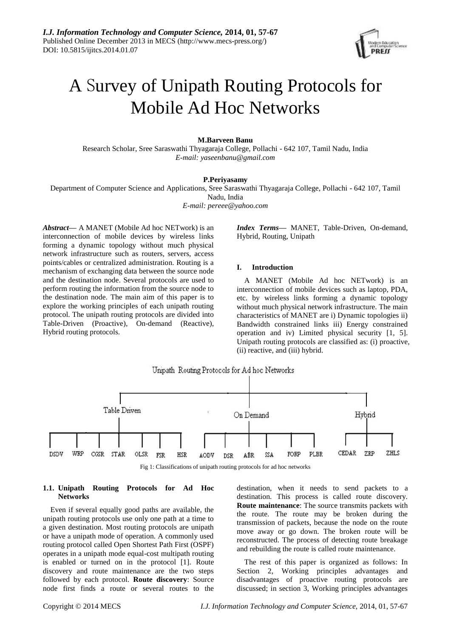

# A Survey of Unipath Routing Protocols for Mobile Ad Hoc Networks

## **M.Barveen Banu**

Research Scholar, Sree Saraswathi Thyagaraja College, Pollachi - 642 107, Tamil Nadu, India *E-mail: [yaseenbanu@gmail.com](mailto:yaseenbanu@gmail.com)*

## **P.Periyasamy**

Department of Computer Science and Applications, Sree Saraswathi Thyagaraja College, Pollachi - 642 107, Tamil Nadu, India

*E-mail: pereee@yahoo.com*

*Abstract***—** A MANET (Mobile Ad hoc NETwork) is an interconnection of mobile devices by wireless links forming a dynamic topology without much physical network infrastructure such as routers, servers, access points/cables or centralized administration. Routing is a mechanism of exchanging data between the source node and the destination node. Several protocols are used to perform routing the information from the source node to the destination node. The main aim of this paper is to explore the working principles of each unipath routing protocol. The unipath routing protocols are divided into Table-Driven (Proactive), On-demand (Reactive), Hybrid routing protocols.

*Index Terms***—** MANET, Table-Driven, On-demand, Hybrid, Routing, Unipath

#### **I. Introduction**

A MANET (Mobile Ad hoc NETwork) is an interconnection of mobile devices such as laptop, PDA, etc. by wireless links forming a dynamic topology without much physical network infrastructure. The main characteristics of MANET are i) Dynamic topologies ii) Bandwidth constrained links iii) Energy constrained operation and iv) Limited physical security [1, 5]. Unipath routing protocols are classified as: (i) proactive, (ii) reactive, and (iii) hybrid.



Fig 1: Classifications of unipath routing protocols for ad hoc networks

## **1.1. Unipath Routing Protocols for Ad Hoc Networks**

Even if several equally good paths are available, the unipath routing protocols use only one path at a time to a given destination. Most routing protocols are unipath or have a unipath mode of operation. A commonly used routing protocol called Open Shortest Path First (OSPF) operates in a unipath mode equal-cost multipath routing is enabled or turned on in the protocol [1]. Route discovery and route maintenance are the two steps followed by each protocol. **Route discovery**: Source node first finds a route or several routes to the

destination, when it needs to send packets to a destination. This process is called route discovery. **Route maintenance**: The source transmits packets with the route. The route may be broken during the transmission of packets, because the node on the route move away or go down. The broken route will be reconstructed. The process of detecting route breakage and rebuilding the route is called route maintenance.

The rest of this paper is organized as follows: In Section 2, Working principles advantages and disadvantages of proactive routing protocols are discussed; in section 3, Working principles advantages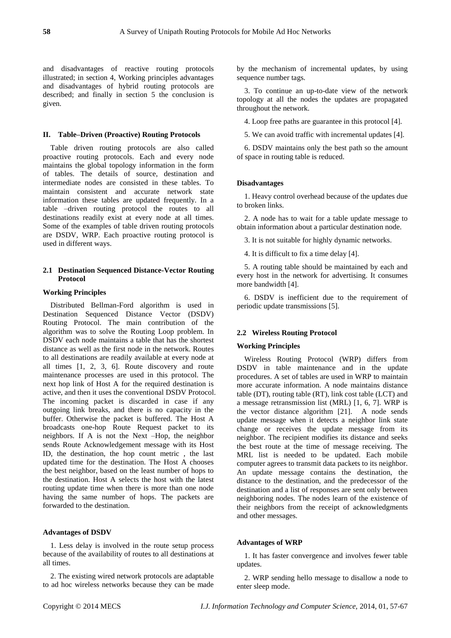and disadvantages of reactive routing protocols illustrated; in section 4, Working principles advantages and disadvantages of hybrid routing protocols are described; and finally in section 5 the conclusion is given.

## **II. Table–Driven (Proactive) Routing Protocols**

Table driven routing protocols are also called proactive routing protocols. Each and every node maintains the global topology information in the form of tables. The details of source, destination and intermediate nodes are consisted in these tables. To maintain consistent and accurate network state information these tables are updated frequently. In a table –driven routing protocol the routes to all destinations readily exist at every node at all times. Some of the examples of table driven routing protocols are DSDV, WRP. Each proactive routing protocol is used in different ways.

# **2.1 Destination Sequenced Distance-Vector Routing Protocol**

## **Working Principles**

Distributed Bellman-Ford algorithm is used in Destination Sequenced Distance Vector (DSDV) Routing Protocol. The main contribution of the algorithm was to solve the Routing Loop problem. In DSDV each node maintains a table that has the shortest distance as well as the first node in the network. Routes to all destinations are readily available at every node at all times [1, 2, 3, 6]. Route discovery and route maintenance processes are used in this protocol. The next hop link of Host A for the required destination is active, and then it uses the conventional DSDV Protocol. The incoming packet is discarded in case if any outgoing link breaks, and there is no capacity in the buffer. Otherwise the packet is buffered. The Host A broadcasts one-hop Route Request packet to its neighbors. If A is not the Next –Hop, the neighbor sends Route Acknowledgement message with its Host ID, the destination, the hop count metric , the last updated time for the destination. The Host A chooses the best neighbor, based on the least number of hops to the destination. Host A selects the host with the latest routing update time when there is more than one node having the same number of hops. The packets are forwarded to the destination.

## **Advantages of DSDV**

1. Less delay is involved in the route setup process because of the availability of routes to all destinations at all times.

2. The existing wired network protocols are adaptable to ad hoc wireless networks because they can be made by the mechanism of incremental updates, by using sequence number tags.

3. To continue an up-to-date view of the network topology at all the nodes the updates are propagated throughout the network.

4. Loop free paths are guarantee in this protocol [4].

5. We can avoid traffic with incremental updates [4].

6. DSDV maintains only the best path so the amount of space in routing table is reduced.

#### **Disadvantages**

1. Heavy control overhead because of the updates due to broken links.

2. A node has to wait for a table update message to obtain information about a particular destination node.

3. It is not suitable for highly dynamic networks.

4. It is difficult to fix a time delay [4].

5. A routing table should be maintained by each and every host in the network for advertising. It consumes more bandwidth [4].

6. DSDV is inefficient due to the requirement of periodic update transmissions [5].

## **2.2 Wireless Routing Protocol**

## **Working Principles**

Wireless Routing Protocol (WRP) differs from DSDV in table maintenance and in the update procedures. A set of tables are used in WRP to maintain more accurate information. A node maintains distance table (DT), routing table (RT), link cost table (LCT) and a message retransmission list (MRL) [1, 6, 7]. WRP is the vector distance algorithm [21]. A node sends update message when it detects a neighbor link state change or receives the update message from its neighbor. The recipient modifies its distance and seeks the best route at the time of message receiving. The MRL list is needed to be updated. Each mobile computer agrees to transmit data packets to its neighbor. An update message contains the destination, the distance to the destination, and the predecessor of the destination and a list of responses are sent only between neighboring nodes. The nodes learn of the existence of their neighbors from the receipt of acknowledgments and other messages.

# **Advantages of WRP**

1. It has faster convergence and involves fewer table updates.

2. WRP sending hello message to disallow a node to enter sleep mode.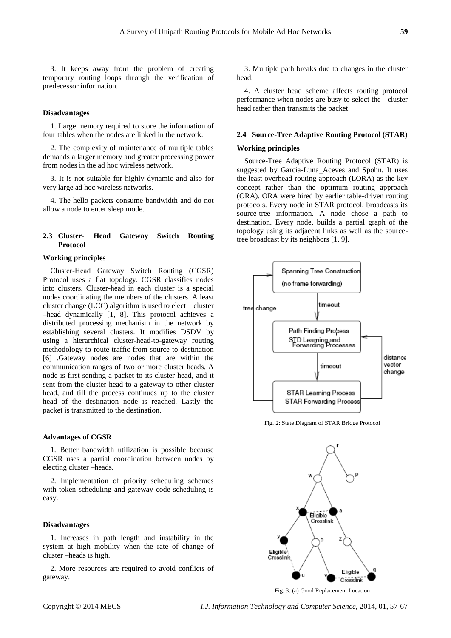3. It keeps away from the problem of creating temporary routing loops through the verification of predecessor information.

# **Disadvantages**

1. Large memory required to store the information of four tables when the nodes are linked in the network.

2. The complexity of maintenance of multiple tables demands a larger memory and greater processing power from nodes in the ad hoc wireless network.

3. It is not suitable for highly dynamic and also for very large ad hoc wireless networks.

4. The hello packets consume bandwidth and do not allow a node to enter sleep mode.

# **2.3 Cluster- Head Gateway Switch Routing Protocol**

## **Working principles**

Cluster-Head Gateway Switch Routing (CGSR) Protocol uses a flat topology. CGSR classifies nodes into clusters. Cluster-head in each cluster is a special nodes coordinating the members of the clusters .A least cluster change (LCC) algorithm is used to elect cluster –head dynamically [1, 8]. This protocol achieves a distributed processing mechanism in the network by establishing several clusters. It modifies DSDV by using a hierarchical cluster-head-to-gateway routing methodology to route traffic from source to destination [6] .Gateway nodes are nodes that are within the communication ranges of two or more cluster heads. A node is first sending a packet to its cluster head, and it sent from the cluster head to a gateway to other cluster head, and till the process continues up to the cluster head of the destination node is reached. Lastly the packet is transmitted to the destination.

#### **Advantages of CGSR**

1. Better bandwidth utilization is possible because CGSR uses a partial coordination between nodes by electing cluster –heads.

2. Implementation of priority scheduling schemes with token scheduling and gateway code scheduling is easy.

## **Disadvantages**

1. Increases in path length and instability in the system at high mobility when the rate of change of cluster –heads is high.

2. More resources are required to avoid conflicts of gateway.

3. Multiple path breaks due to changes in the cluster head.

4. A cluster head scheme affects routing protocol performance when nodes are busy to select the cluster head rather than transmits the packet.

# **2.4 Source-Tree Adaptive Routing Protocol (STAR)**

#### **Working principles**

Source-Tree Adaptive Routing Protocol (STAR) is suggested by Garcia-Luna\_Aceves and Spohn. It uses the least overhead routing approach (LORA) as the key concept rather than the optimum routing approach (ORA). ORA were hired by earlier table-driven routing protocols. Every node in STAR protocol, broadcasts its source-tree information. A node chose a path to destination. Every node, builds a partial graph of the topology using its adjacent links as well as the sourcetree broadcast by its neighbors [1, 9].



Fig. 2: State Diagram of STAR Bridge Protocol



Fig. 3: (a) Good Replacement Location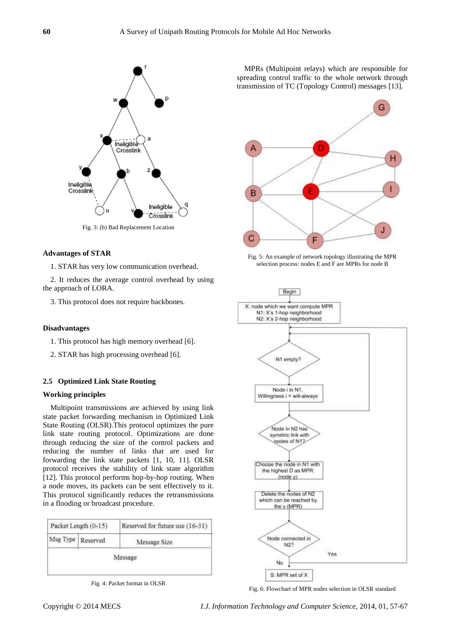

# **Advantages of STAR**

1. STAR has very low communication overhead.

2. It reduces the average control overhead by using the approach of LORA.

3. This protocol does not require backbones.

# **Disadvantages**

- 1. This protocol has high memory overhead [6].
- 2. STAR has high processing overhead [6].

# **2.5 Optimized Link State Routing**

# **Working principles**

Multipoint transmissions are achieved by using link state packet forwarding mechanism in Optimized Link State Routing (OLSR).This protocol optimizes the pure link state routing protocol. Optimizations are done through reducing the size of the control packets and reducing the number of links that are used for forwarding the link state packets [1, 10, 11]. OLSR protocol receives the stability of link state algorithm [12]. This protocol performs hop-by-hop routing. When a node moves, its packets can be sent effectively to it. This protocol significantly reduces the retransmissions in a flooding or broadcast procedure.

| Packet Length (0-15) |                   | Reserved for future use (16-31) |
|----------------------|-------------------|---------------------------------|
|                      | Msg Type Reserved | Message Size                    |
|                      |                   | Message                         |
|                      |                   |                                 |

Fig. 4: Packet format in OLSR

MPRs (Multipoint relays) which are responsible for spreading control traffic to the whole network through transmission of TC (Topology Control) messages [13].



Fig. 5: An example of network topology illustrating the MPR selection process: nodes E and F are MPRs for node B



Fig. 6: Flowchart of MPR nodes selection in OLSR standard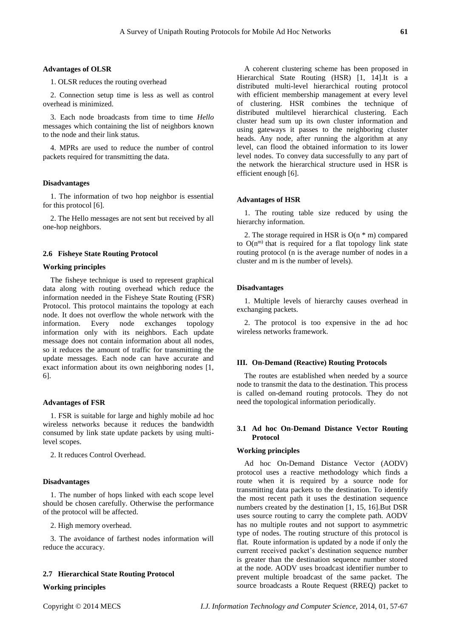#### **Advantages of OLSR**

1. OLSR reduces the routing overhead

2. Connection setup time is less as well as control overhead is minimized.

3. Each node broadcasts from time to time *Hello*  messages which containing the list of neighbors known to the node and their link status.

4. MPRs are used to reduce the number of control packets required for transmitting the data.

## **Disadvantages**

1. The information of two hop neighbor is essential for this protocol [6].

2. The Hello messages are not sent but received by all one-hop neighbors.

# **2.6 Fisheye State Routing Protocol**

#### **Working principles**

The fisheye technique is used to represent graphical data along with routing overhead which reduce the information needed in the Fisheye State Routing (FSR) Protocol. This protocol maintains the topology at each node. It does not overflow the whole network with the information. Every node exchanges topology information only with its neighbors. Each update message does not contain information about all nodes, so it reduces the amount of traffic for transmitting the update messages. Each node can have accurate and exact information about its own neighboring nodes [1, 6].

#### **Advantages of FSR**

1. FSR is suitable for large and highly mobile ad hoc wireless networks because it reduces the bandwidth consumed by link state update packets by using multilevel scopes.

2. It reduces Control Overhead.

## **Disadvantages**

1. The number of hops linked with each scope level should be chosen carefully. Otherwise the performance of the protocol will be affected.

2. High memory overhead.

3. The avoidance of farthest nodes information will reduce the accuracy.

## **2.7 Hierarchical State Routing Protocol**

# **Working principles**

A coherent clustering scheme has been proposed in Hierarchical State Routing (HSR) [1, 14].It is a distributed multi-level hierarchical routing protocol with efficient membership management at every level of clustering. HSR combines the technique of distributed multilevel hierarchical clustering. Each cluster head sum up its own cluster information and using gateways it passes to the neighboring cluster heads. Any node, after running the algorithm at any level, can flood the obtained information to its lower level nodes. To convey data successfully to any part of the network the hierarchical structure used in HSR is efficient enough [6].

#### **Advantages of HSR**

1. The routing table size reduced by using the hierarchy information.

2. The storage required in HSR is  $O(n * m)$  compared to  $O(n^{m})$  that is required for a flat topology link state routing protocol (n is the average number of nodes in a cluster and m is the number of levels).

#### **Disadvantages**

1. Multiple levels of hierarchy causes overhead in exchanging packets.

2. The protocol is too expensive in the ad hoc wireless networks framework.

#### **III. On-Demand (Reactive) Routing Protocols**

The routes are established when needed by a source node to transmit the data to the destination. This process is called on-demand routing protocols. They do not need the topological information periodically.

# **3.1 Ad hoc On-Demand Distance Vector Routing Protocol**

# **Working principles**

Ad hoc On-Demand Distance Vector (AODV) protocol uses a reactive methodology which finds a route when it is required by a source node for transmitting data packets to the destination. To identify the most recent path it uses the destination sequence numbers created by the destination [1, 15, 16].But DSR uses source routing to carry the complete path. AODV has no multiple routes and not support to asymmetric type of nodes. The routing structure of this protocol is flat. Route information is updated by a node if only the current received packet's destination sequence number is greater than the destination sequence number stored at the node. AODV uses broadcast identifier number to prevent multiple broadcast of the same packet. The source broadcasts a Route Request (RREQ) packet to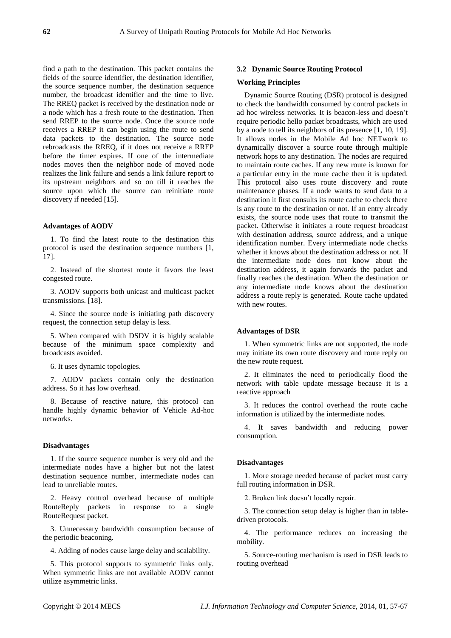find a path to the destination. This packet contains the fields of the source identifier, the destination identifier, the source sequence number, the destination sequence number, the broadcast identifier and the time to live. The RREQ packet is received by the destination node or a node which has a fresh route to the destination. Then send RREP to the source node. Once the source node receives a RREP it can begin using the route to send data packets to the destination. The source node rebroadcasts the RREQ, if it does not receive a RREP before the timer expires. If one of the intermediate nodes moves then the neighbor node of moved node realizes the link failure and sends a link failure report to its upstream neighbors and so on till it reaches the source upon which the source can reinitiate route discovery if needed [15].

## **Advantages of AODV**

1. To find the latest route to the destination this protocol is used the destination sequence numbers [1, 17].

2. Instead of the shortest route it favors the least congested route.

3. AODV supports both unicast and multicast packet transmissions. [18].

4. Since the source node is initiating path discovery request, the connection setup delay is less.

5. When compared with DSDV it is highly scalable because of the minimum space complexity and broadcasts avoided.

6. It uses dynamic topologies.

7. AODV packets contain only the destination address. So it has low overhead.

8. Because of reactive nature, this protocol can handle highly dynamic behavior of Vehicle Ad-hoc networks.

## **Disadvantages**

1. If the source sequence number is very old and the intermediate nodes have a higher but not the latest destination sequence number, intermediate nodes can lead to unreliable routes.

2. Heavy control overhead because of multiple RouteReply packets in response to a single RouteRequest packet.

3. Unnecessary bandwidth consumption because of the periodic beaconing.

4. Adding of nodes cause large delay and scalability.

5. This protocol supports to symmetric links only. When symmetric links are not available AODV cannot utilize asymmetric links.

## **3.2 Dynamic Source Routing Protocol**

#### **Working Principles**

Dynamic Source Routing (DSR) protocol is designed to check the bandwidth consumed by control packets in ad hoc wireless networks. It is beacon-less and doesn't require periodic hello packet broadcasts, which are used by a node to tell its neighbors of its presence [1, 10, 19]. It allows nodes in the Mobile Ad hoc NETwork to dynamically discover a source route through multiple network hops to any destination. The nodes are required to maintain route caches. If any new route is known for a particular entry in the route cache then it is updated. This protocol also uses route discovery and route maintenance phases. If a node wants to send data to a destination it first consults its route cache to check there is any route to the destination or not. If an entry already exists, the source node uses that route to transmit the packet. Otherwise it initiates a route request broadcast with destination address, source address, and a unique identification number. Every intermediate node checks whether it knows about the destination address or not. If the intermediate node does not know about the destination address, it again forwards the packet and finally reaches the destination. When the destination or any intermediate node knows about the destination address a route reply is generated. Route cache updated with new routes.

## **Advantages of DSR**

1. When symmetric links are not supported, the node may initiate its own route discovery and route reply on the new route request.

2. It eliminates the need to periodically flood the network with table update message because it is a reactive approach

3. It reduces the control overhead the route cache information is utilized by the intermediate nodes.

4. It saves bandwidth and reducing power consumption.

#### **Disadvantages**

1. More storage needed because of packet must carry full routing information in DSR.

2. Broken link doesn't locally repair.

3. The connection setup delay is higher than in tabledriven protocols.

4. The performance reduces on increasing the mobility.

5. Source-routing mechanism is used in DSR leads to routing overhead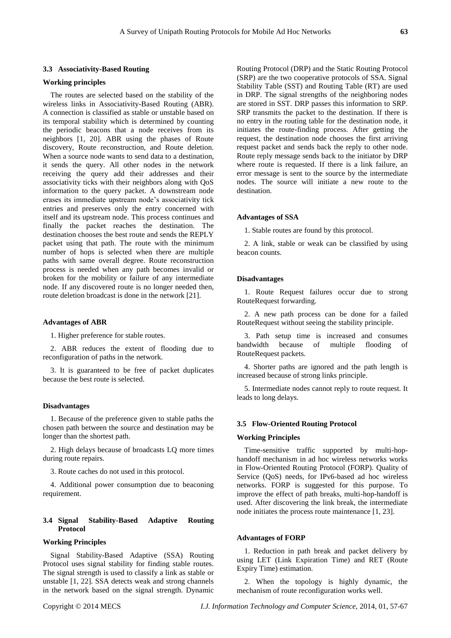#### **3.3 Associativity-Based Routing**

#### **Working principles**

The routes are selected based on the stability of the wireless links in Associativity-Based Routing (ABR). A connection is classified as stable or unstable based on its temporal stability which is determined by counting the periodic beacons that a node receives from its neighbors [1, 20]. ABR using the phases of Route discovery, Route reconstruction, and Route deletion. When a source node wants to send data to a destination. it sends the query. All other nodes in the network receiving the query add their addresses and their associativity ticks with their neighbors along with QoS information to the query packet. A downstream node erases its immediate upstream node's associativity tick entries and preserves only the entry concerned with itself and its upstream node. This process continues and finally the packet reaches the destination. The destination chooses the best route and sends the REPLY packet using that path. The route with the minimum number of hops is selected when there are multiple paths with same overall degree. Route reconstruction process is needed when any path becomes invalid or broken for the mobility or failure of any intermediate node. If any discovered route is no longer needed then, route deletion broadcast is done in the network [21].

#### **Advantages of ABR**

1. Higher preference for stable routes.

2. ABR reduces the extent of flooding due to reconfiguration of paths in the network.

3. It is guaranteed to be free of packet duplicates because the best route is selected.

## **Disadvantages**

1. Because of the preference given to stable paths the chosen path between the source and destination may be longer than the shortest path.

2. High delays because of broadcasts LQ more times during route repairs.

3. Route caches do not used in this protocol.

4. Additional power consumption due to beaconing requirement.

## **3.4 Signal Stability-Based Adaptive Routing Protocol**

# **Working Principles**

Signal Stability-Based Adaptive (SSA) Routing Protocol uses signal stability for finding stable routes. The signal strength is used to classify a link as stable or unstable [1, 22]. SSA detects weak and strong channels in the network based on the signal strength. Dynamic Routing Protocol (DRP) and the Static Routing Protocol (SRP) are the two cooperative protocols of SSA. Signal Stability Table (SST) and Routing Table (RT) are used in DRP. The signal strengths of the neighboring nodes are stored in SST. DRP passes this information to SRP. SRP transmits the packet to the destination. If there is no entry in the routing table for the destination node, it initiates the route-finding process. After getting the request, the destination node chooses the first arriving request packet and sends back the reply to other node. Route reply message sends back to the initiator by DRP where route is requested. If there is a link failure, an error message is sent to the source by the intermediate nodes. The source will initiate a new route to the destination.

### **Advantages of SSA**

1. Stable routes are found by this protocol.

2. A link, stable or weak can be classified by using beacon counts.

## **Disadvantages**

1. Route Request failures occur due to strong RouteRequest forwarding.

2. A new path process can be done for a failed RouteRequest without seeing the stability principle.

3. Path setup time is increased and consumes<br>bandwidth because of multiple flooding of because of multiple flooding of RouteRequest packets.

4. Shorter paths are ignored and the path length is increased because of strong links principle.

5. Intermediate nodes cannot reply to route request. It leads to long delays.

#### **3.5 Flow-Oriented Routing Protocol**

#### **Working Principles**

Time-sensitive traffic supported by multi-hophandoff mechanism in ad hoc wireless networks works in Flow-Oriented Routing Protocol (FORP). Quality of Service (QoS) needs, for IPv6-based ad hoc wireless networks. FORP is suggested for this purpose. To improve the effect of path breaks, multi-hop-handoff is used. After discovering the link break, the intermediate node initiates the process route maintenance [1, 23].

### **Advantages of FORP**

1. Reduction in path break and packet delivery by using LET (Link Expiration Time) and RET (Route Expiry Time) estimation.

2. When the topology is highly dynamic, the mechanism of route reconfiguration works well.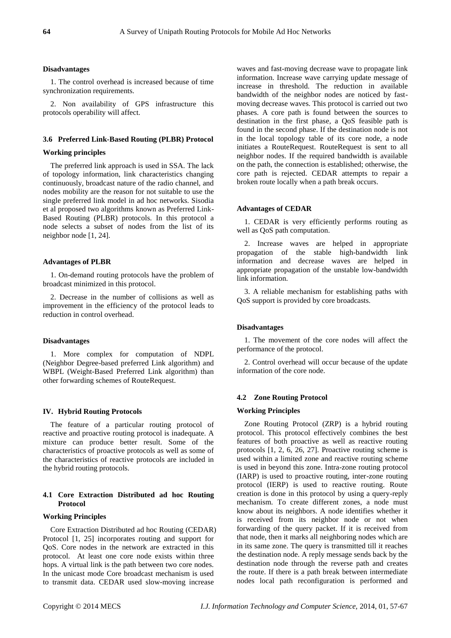#### **Disadvantages**

1. The control overhead is increased because of time synchronization requirements.

2. Non availability of GPS infrastructure this protocols operability will affect.

## **3.6 Preferred Link-Based Routing (PLBR) Protocol**

# **Working principles**

The preferred link approach is used in SSA. The lack of topology information, link characteristics changing continuously, broadcast nature of the radio channel, and nodes mobility are the reason for not suitable to use the single preferred link model in ad hoc networks. Sisodia et al proposed two algorithms known as Preferred Link-Based Routing (PLBR) protocols. In this protocol a node selects a subset of nodes from the list of its neighbor node [1, 24].

#### **Advantages of PLBR**

1. On-demand routing protocols have the problem of broadcast minimized in this protocol.

2. Decrease in the number of collisions as well as improvement in the efficiency of the protocol leads to reduction in control overhead.

#### **Disadvantages**

1. More complex for computation of NDPL (Neighbor Degree-based preferred Link algorithm) and WBPL (Weight-Based Preferred Link algorithm) than other forwarding schemes of RouteRequest.

#### **IV. Hybrid Routing Protocols**

The feature of a particular routing protocol of reactive and proactive routing protocol is inadequate. A mixture can produce better result. Some of the characteristics of proactive protocols as well as some of the characteristics of reactive protocols are included in the hybrid routing protocols.

## **4.1 Core Extraction Distributed ad hoc Routing Protocol**

## **Working Principles**

Core Extraction Distributed ad hoc Routing (CEDAR) Protocol [1, 25] incorporates routing and support for QoS. Core nodes in the network are extracted in this protocol. At least one core node exists within three hops. A virtual link is the path between two core nodes. In the unicast mode Core broadcast mechanism is used to transmit data. CEDAR used slow-moving increase

waves and fast-moving decrease wave to propagate link information. Increase wave carrying update message of increase in threshold. The reduction in available bandwidth of the neighbor nodes are noticed by fastmoving decrease waves. This protocol is carried out two phases. A core path is found between the sources to destination in the first phase, a QoS feasible path is found in the second phase. If the destination node is not in the local topology table of its core node, a node initiates a RouteRequest. RouteRequest is sent to all neighbor nodes. If the required bandwidth is available on the path, the connection is established; otherwise, the core path is rejected. CEDAR attempts to repair a broken route locally when a path break occurs.

#### **Advantages of CEDAR**

1. CEDAR is very efficiently performs routing as well as QoS path computation.

2. Increase waves are helped in appropriate propagation of the stable high-bandwidth link information and decrease waves are helped in appropriate propagation of the unstable low-bandwidth link information.

3. A reliable mechanism for establishing paths with QoS support is provided by core broadcasts.

## **Disadvantages**

1. The movement of the core nodes will affect the performance of the protocol.

2. Control overhead will occur because of the update information of the core node.

#### **4.2 Zone Routing Protocol**

# **Working Principles**

Zone Routing Protocol (ZRP) is a hybrid routing protocol. This protocol effectively combines the best features of both proactive as well as reactive routing protocols [1, 2, 6, 26, 27]. Proactive routing scheme is used within a limited zone and reactive routing scheme is used in beyond this zone. Intra-zone routing protocol (IARP) is used to proactive routing, inter-zone routing protocol (IERP) is used to reactive routing. Route creation is done in this protocol by using a query-reply mechanism. To create different zones, a node must know about its neighbors. A node identifies whether it is received from its neighbor node or not when forwarding of the query packet. If it is received from that node, then it marks all neighboring nodes which are in its same zone. The query is transmitted till it reaches the destination node. A reply message sends back by the destination node through the reverse path and creates the route. If there is a path break between intermediate nodes local path reconfiguration is performed and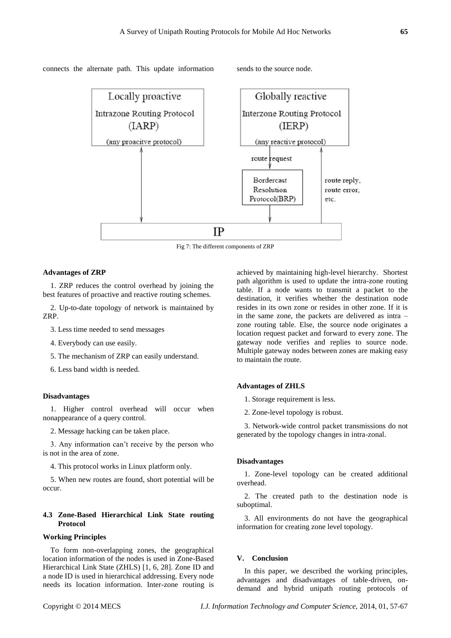#### connects the alternate path. This update information sends to the source node.



Fig 7: The different components of ZRP

#### **Advantages of ZRP**

1. ZRP reduces the control overhead by joining the best features of proactive and reactive routing schemes.

2. Up-to-date topology of network is maintained by ZRP.

- 3. Less time needed to send messages
- 4. Everybody can use easily.
- 5. The mechanism of ZRP can easily understand.
- 6. Less band width is needed.

## **Disadvantages**

1. Higher control overhead will occur when nonappearance of a query control.

2. Message hacking can be taken place.

3. Any information can't receive by the person who is not in the area of zone.

4. This protocol works in Linux platform only.

5. When new routes are found, short potential will be occur.

# **4.3 Zone-Based Hierarchical Link State routing Protocol**

## **Working Principles**

To form non-overlapping zones, the geographical location information of the nodes is used in Zone-Based Hierarchical Link State (ZHLS) [1, 6, 28]. Zone ID and a node ID is used in hierarchical addressing. Every node needs its location information. Inter-zone routing is achieved by maintaining high-level hierarchy. Shortest path algorithm is used to update the intra-zone routing table. If a node wants to transmit a packet to the destination, it verifies whether the destination node resides in its own zone or resides in other zone. If it is in the same zone, the packets are delivered as intra – zone routing table. Else, the source node originates a location request packet and forward to every zone. The gateway node verifies and replies to source node. Multiple gateway nodes between zones are making easy to maintain the route.

# **Advantages of ZHLS**

- 1. Storage requirement is less.
- 2. Zone-level topology is robust.

3. Network-wide control packet transmissions do not generated by the topology changes in intra-zonal.

## **Disadvantages**

1. Zone-level topology can be created additional overhead.

2. The created path to the destination node is suboptimal.

3. All environments do not have the geographical information for creating zone level topology.

## **V. Conclusion**

In this paper, we described the working principles, advantages and disadvantages of table-driven, ondemand and hybrid unipath routing protocols of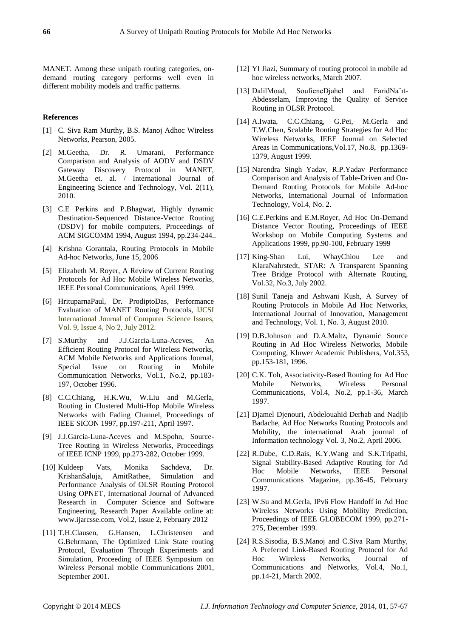MANET. Among these unipath routing categories, ondemand routing category performs well even in different mobility models and traffic patterns.

# **References**

- [1] C. Siva Ram Murthy, B.S. Manoj Adhoc Wireless Networks, Pearson, 2005.
- [2] M.Geetha, Dr. R. Umarani, Performance Comparison and Analysis of AODV and DSDV Gateway Discovery Protocol in MANET, M.Geetha et. al. / International Journal of Engineering Science and Technology, Vol. 2(11), 2010.
- [3] C.E Perkins and P.Bhagwat, Highly dynamic Destination-Sequenced Distance-Vector Routing (DSDV) for mobile computers, Proceedings of ACM SIGCOMM 1994, August 1994, pp.234-244..
- [4] Krishna Gorantala, Routing Protocols in Mobile Ad-hoc Networks, June 15, 2006
- [5] Elizabeth M. Royer, A Review of Current Routing Protocols for Ad Hoc Mobile Wireless Networks, IEEE Personal Communications, April 1999.
- [6] HrituparnaPaul, Dr. ProdiptoDas, Performance Evaluation of MANET Routing Protocols, IJCSI International Journal of Computer Science Issues, Vol. 9, Issue 4, No 2, July 2012.
- [7] S.Murthy and J.J.Garcia-Luna-Aceves, An Efficient Routing Protocol for Wireless Networks, ACM Mobile Networks and Applications Journal, Special Issue on Routing in Mobile Communication Networks, Vol.1, No.2, pp.183- 197, October 1996.
- [8] C.C.Chiang, H.K.Wu, W.Liu and M.Gerla, Routing in Clustered Multi-Hop Mobile Wireless Networks with Fading Channel, Proceedings of IEEE SICON 1997, pp.197-211, April 1997.
- [9] J.J.Garcia-Luna-Aceves and M.Spohn, Source-Tree Routing in Wireless Networks, Proceedings of IEEE ICNP 1999, pp.273-282, October 1999.
- [10] Kuldeep Vats, Monika Sachdeva, Dr. KrishanSaluja, AmitRathee, Simulation and Performance Analysis of OLSR Routing Protocol Using OPNET, International Journal of Advanced Research in Computer Science and Software Engineering, Research Paper Available online at: www.ijarcsse.com, Vol.2, Issue 2, February 2012
- [11] T.H.Clausen, G.Hansen, L.Christensen and G.Behrmann, The Optimized Link State routing Protocol, Evaluation Through Experiments and Simulation, Proceeding of IEEE Symposium on Wireless Personal mobile Communications 2001, September 2001.
- [12] YI Jiazi, Summary of routing protocol in mobile ad hoc wireless networks, March 2007.
- [13] DalilMoad, SoufieneDjahel and FaridNa¨ıt-Abdesselam, Improving the Quality of Service Routing in OLSR Protocol.
- [14] A.Iwata, C.C.Chiang, G.Pei, M.Gerla and T.W.Chen, Scalable Routing Strategies for Ad Hoc Wireless Networks, IEEE Journal on Selected Areas in Communications,Vol.17, No.8, pp.1369- 1379, August 1999.
- [15] Narendra Singh Yadav, R.P.Yadav Performance Comparison and Analysis of Table-Driven and On-Demand Routing Protocols for Mobile Ad-hoc Networks, International Journal of Information Technology, Vol.4, No. 2.
- [16] C.E.Perkins and E.M.Royer, Ad Hoc On-Demand Distance Vector Routing, Proceedings of IEEE Workshop on Mobile Computing Systems and Applications 1999, pp.90-100, February 1999
- [17] King-Shan Lui, WhayChiou Lee and KlaraNahrstedt, STAR: A Transparent Spanning Tree Bridge Protocol with Alternate Routing, Vol.32, No.3, July 2002.
- [18] Sunil Taneja and Ashwani Kush, A Survey of Routing Protocols in Mobile Ad Hoc Networks, International Journal of Innovation, Management and Technology, Vol. 1, No. 3, August 2010.
- [19] D.B.Johnson and D.A.Maltz, Dynamic Source Routing in Ad Hoc Wireless Networks, Mobile Computing, Kluwer Academic Publishers, Vol.353, pp.153-181, 1996.
- [20] C.K. Toh, Associativity-Based Routing for Ad Hoc Mobile Networks, Wireless Personal Communications, Vol.4, No.2, pp.1-36, March 1997.
- [21] Djamel Djenouri, Abdelouahid Derhab and Nadjib Badache, Ad Hoc Networks Routing Protocols and Mobility, the international Arab journal of Information technology Vol. 3, No.2, April 2006.
- [22] R.Dube, C.D.Rais, K.Y.Wang and S.K.Tripathi, Signal Stability-Based Adaptive Routing for Ad Hoc Mobile Networks, IEEE Personal Communications Magazine, pp.36-45, February 1997.
- [23] W.Su and M.Gerla, IPv6 Flow Handoff in Ad Hoc Wireless Networks Using Mobility Prediction, Proceedings of IEEE GLOBECOM 1999, pp.271- 275, December 1999.
- [24] R.S.Sisodia, B.S.Manoj and C.Siva Ram Murthy, A Preferred Link-Based Routing Protocol for Ad Hoc Wireless Networks, Journal of Communications and Networks, Vol.4, No.1, pp.14-21, March 2002.